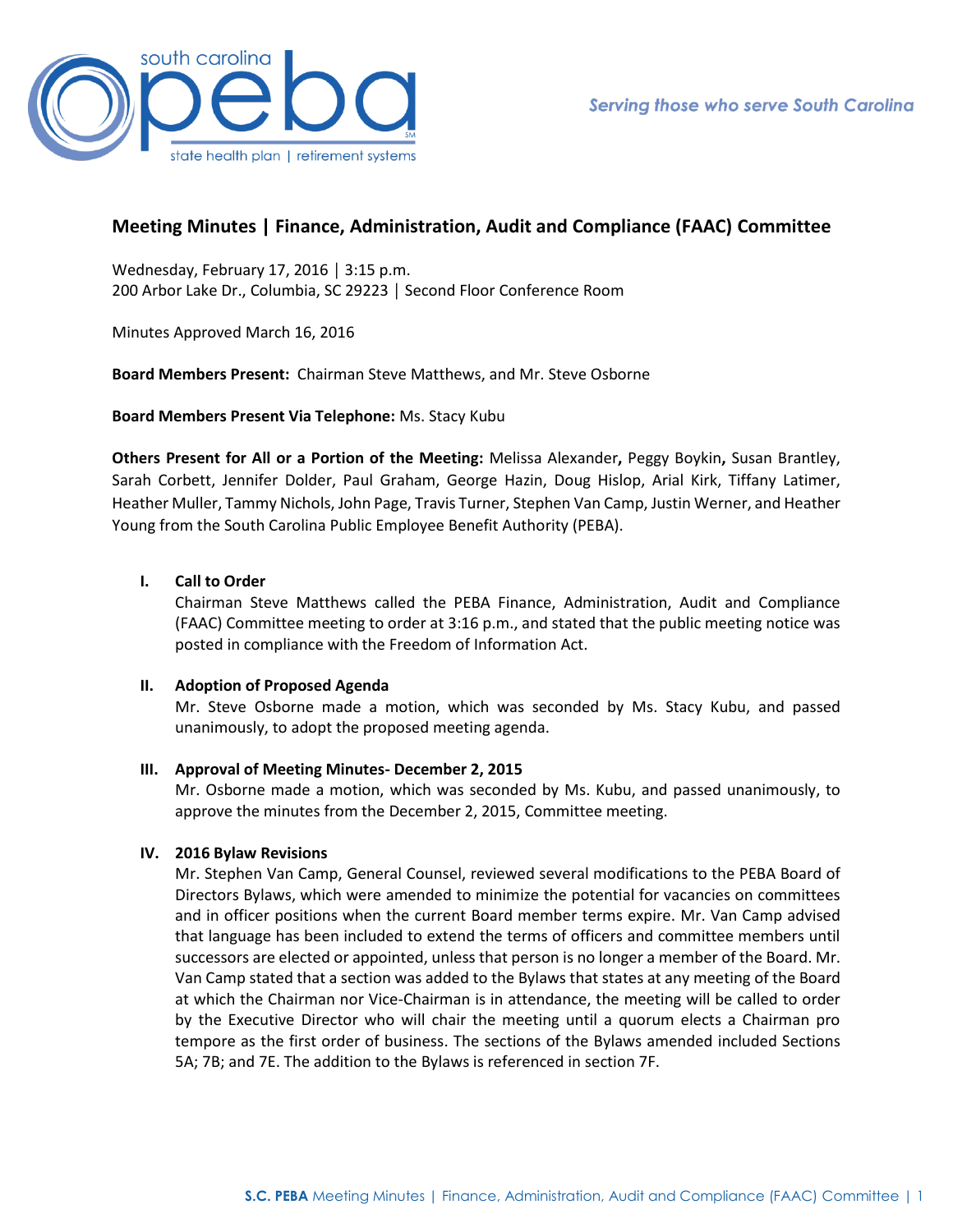

# **Meeting Minutes | Finance, Administration, Audit and Compliance (FAAC) Committee**

Wednesday, February 17, 2016 │ 3:15 p.m. 200 Arbor Lake Dr., Columbia, SC 29223 │ Second Floor Conference Room

Minutes Approved March 16, 2016

**Board Members Present:** Chairman Steve Matthews, and Mr. Steve Osborne

**Board Members Present Via Telephone:** Ms. Stacy Kubu

**Others Present for All or a Portion of the Meeting:** Melissa Alexander**,** Peggy Boykin**,** Susan Brantley, Sarah Corbett, Jennifer Dolder, Paul Graham, George Hazin, Doug Hislop, Arial Kirk, Tiffany Latimer, Heather Muller, Tammy Nichols, John Page, Travis Turner, Stephen Van Camp, Justin Werner, and Heather Young from the South Carolina Public Employee Benefit Authority (PEBA).

## **I. Call to Order**

Chairman Steve Matthews called the PEBA Finance, Administration, Audit and Compliance (FAAC) Committee meeting to order at 3:16 p.m., and stated that the public meeting notice was posted in compliance with the Freedom of Information Act.

## **II. Adoption of Proposed Agenda**

Mr. Steve Osborne made a motion, which was seconded by Ms. Stacy Kubu, and passed unanimously, to adopt the proposed meeting agenda.

### **III. Approval of Meeting Minutes- December 2, 2015**

Mr. Osborne made a motion, which was seconded by Ms. Kubu, and passed unanimously, to approve the minutes from the December 2, 2015, Committee meeting.

### **IV. 2016 Bylaw Revisions**

Mr. Stephen Van Camp, General Counsel, reviewed several modifications to the PEBA Board of Directors Bylaws, which were amended to minimize the potential for vacancies on committees and in officer positions when the current Board member terms expire. Mr. Van Camp advised that language has been included to extend the terms of officers and committee members until successors are elected or appointed, unless that person is no longer a member of the Board. Mr. Van Camp stated that a section was added to the Bylaws that states at any meeting of the Board at which the Chairman nor Vice-Chairman is in attendance, the meeting will be called to order by the Executive Director who will chair the meeting until a quorum elects a Chairman pro tempore as the first order of business. The sections of the Bylaws amended included Sections 5A; 7B; and 7E. The addition to the Bylaws is referenced in section 7F.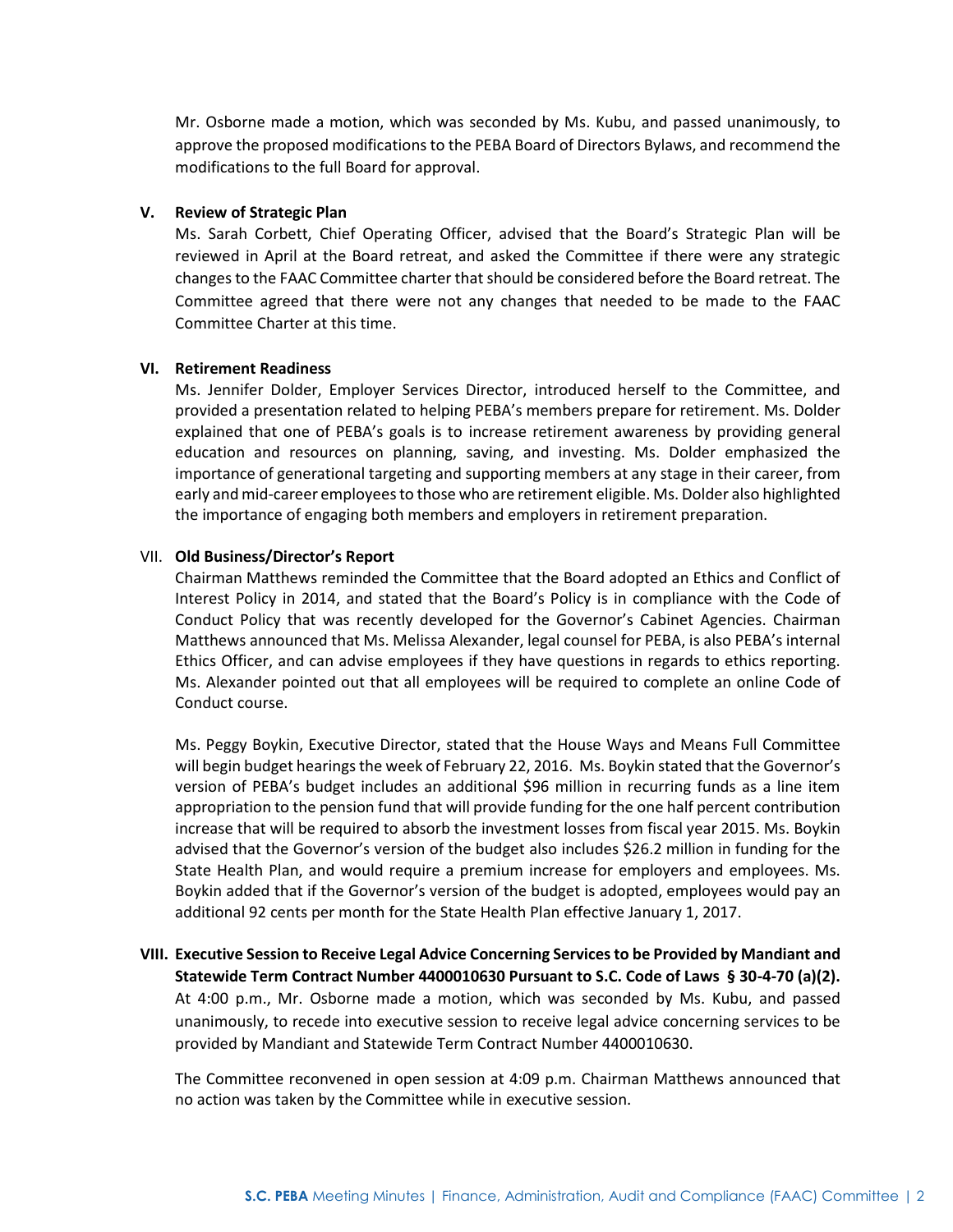Mr. Osborne made a motion, which was seconded by Ms. Kubu, and passed unanimously, to approve the proposed modifications to the PEBA Board of Directors Bylaws, and recommend the modifications to the full Board for approval.

### **V. Review of Strategic Plan**

Ms. Sarah Corbett, Chief Operating Officer, advised that the Board's Strategic Plan will be reviewed in April at the Board retreat, and asked the Committee if there were any strategic changes to the FAAC Committee charter that should be considered before the Board retreat. The Committee agreed that there were not any changes that needed to be made to the FAAC Committee Charter at this time.

#### **VI. Retirement Readiness**

Ms. Jennifer Dolder, Employer Services Director, introduced herself to the Committee, and provided a presentation related to helping PEBA's members prepare for retirement. Ms. Dolder explained that one of PEBA's goals is to increase retirement awareness by providing general education and resources on planning, saving, and investing. Ms. Dolder emphasized the importance of generational targeting and supporting members at any stage in their career, from early and mid-career employees to those who are retirement eligible. Ms. Dolder also highlighted the importance of engaging both members and employers in retirement preparation.

#### VII. **Old Business/Director's Report**

Chairman Matthews reminded the Committee that the Board adopted an Ethics and Conflict of Interest Policy in 2014, and stated that the Board's Policy is in compliance with the Code of Conduct Policy that was recently developed for the Governor's Cabinet Agencies. Chairman Matthews announced that Ms. Melissa Alexander, legal counsel for PEBA, is also PEBA's internal Ethics Officer, and can advise employees if they have questions in regards to ethics reporting. Ms. Alexander pointed out that all employees will be required to complete an online Code of Conduct course.

Ms. Peggy Boykin, Executive Director, stated that the House Ways and Means Full Committee will begin budget hearings the week of February 22, 2016. Ms. Boykin stated that the Governor's version of PEBA's budget includes an additional \$96 million in recurring funds as a line item appropriation to the pension fund that will provide funding for the one half percent contribution increase that will be required to absorb the investment losses from fiscal year 2015. Ms. Boykin advised that the Governor's version of the budget also includes \$26.2 million in funding for the State Health Plan, and would require a premium increase for employers and employees. Ms. Boykin added that if the Governor's version of the budget is adopted, employees would pay an additional 92 cents per month for the State Health Plan effective January 1, 2017.

**VIII. Executive Session to Receive Legal Advice Concerning Services to be Provided by Mandiant and Statewide Term Contract Number 4400010630 Pursuant to S.C. Code of Laws § 30-4-70 (a)(2).** At 4:00 p.m., Mr. Osborne made a motion, which was seconded by Ms. Kubu, and passed unanimously, to recede into executive session to receive legal advice concerning services to be provided by Mandiant and Statewide Term Contract Number 4400010630.

The Committee reconvened in open session at 4:09 p.m. Chairman Matthews announced that no action was taken by the Committee while in executive session.